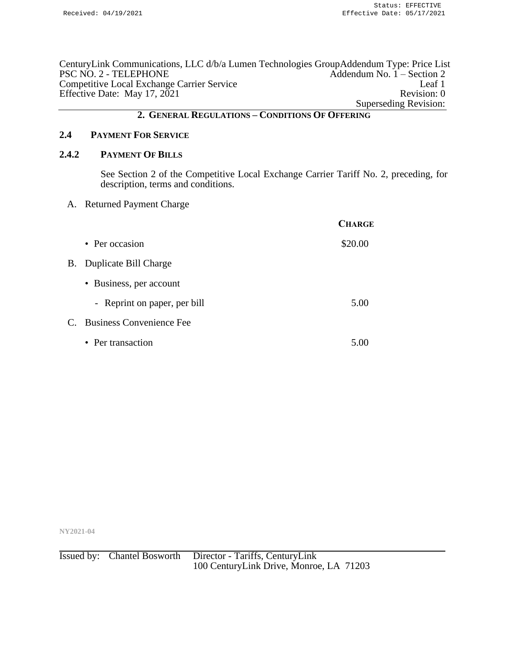CenturyLink Communications, LLC d/b/a Lumen Technologies GroupAddendum Type: Price List Addendum No.  $1 -$  Section 2 Competitive Local Exchange Carrier Service Leaf 1 Effective Date: May 17, 2021 Revision: 0 Superseding Revision:

## **2. GENERAL REGULATIONS – CONDITIONS OF OFFERING**

## **2.4 PAYMENT FOR SERVICE**

## **2.4.2 PAYMENT OF BILLS**

See Section 2 of the Competitive Local Exchange Carrier Tariff No. 2, preceding, for description, terms and conditions.

A. Returned Payment Charge

|    |                              | <b>CHARGE</b> |
|----|------------------------------|---------------|
|    | • Per occasion               | \$20.00       |
| В. | Duplicate Bill Charge        |               |
|    | • Business, per account      |               |
|    | - Reprint on paper, per bill | 5.00          |
|    | C. Business Convenience Fee  |               |
|    | • Per transaction            | 5.00          |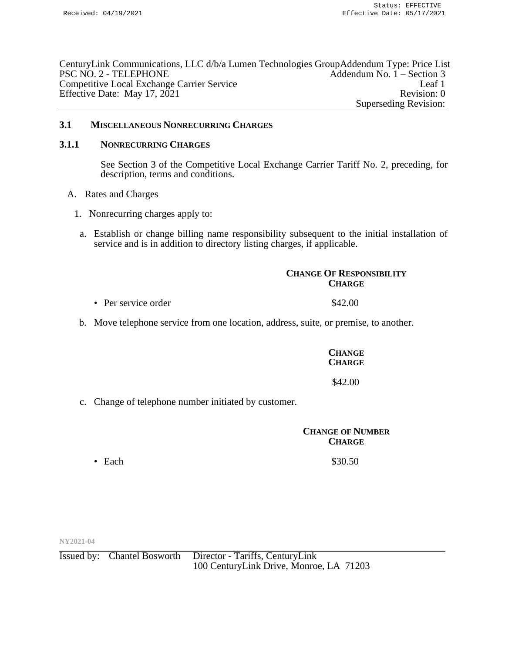CenturyLink Communications, LLC d/b/a Lumen Technologies GroupAddendum Type: Price List PSC NO. 2 - TELEPHONE Addendum No. 1 – Section 3 Competitive Local Exchange Carrier Service Leaf 1 Effective Date: May 17, 2021 Revision: 0 Superseding Revision:

## **3.1 MISCELLANEOUS NONRECURRING CHARGES**

#### **3.1.1 NONRECURRING CHARGES**

See Section 3 of the Competitive Local Exchange Carrier Tariff No. 2, preceding, for description, terms and conditions.

- A. Rates and Charges
	- 1. Nonrecurring charges apply to:
	- a. Establish or change billing name responsibility subsequent to the initial installation of service and is in addition to directory listing charges, if applicable.

#### **CHANGE OF RESPONSIBILITY CHARGE**

- Per service order  $$42.00$
- b. Move telephone service from one location, address, suite, or premise, to another.

## **CHANGE CHARGE**

## \$42.00

c. Change of telephone number initiated by customer.

## **CHANGE OF NUMBER CHARGE**

• Each  $$30.50$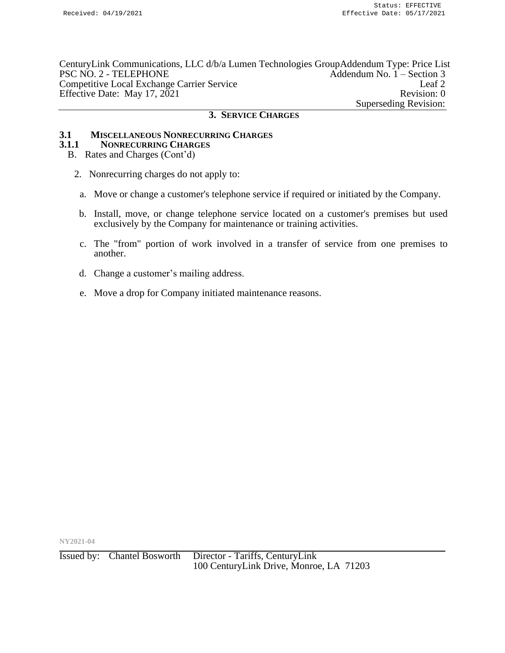CenturyLink Communications, LLC d/b/a Lumen Technologies GroupAddendum Type: Price List PSC NO. 2 - TELEPHONE Addendum No. 1 – Section 3 Competitive Local Exchange Carrier Service Leaf 2 Effective Date: May 17, 2021 Revision: 0 Superseding Revision:

#### **3. SERVICE CHARGES**

# **3.1 MISCELLANEOUS NONRECURRING CHARGES**

#### **3.1.1 NONRECURRING CHARGES**

- B. Rates and Charges (Cont'd)
	- 2. Nonrecurring charges do not apply to:
	- a. Move or change a customer's telephone service if required or initiated by the Company.
	- b. Install, move, or change telephone service located on a customer's premises but used exclusively by the Company for maintenance or training activities.
	- c. The "from" portion of work involved in a transfer of service from one premises to another.
	- d. Change a customer's mailing address.
	- e. Move a drop for Company initiated maintenance reasons.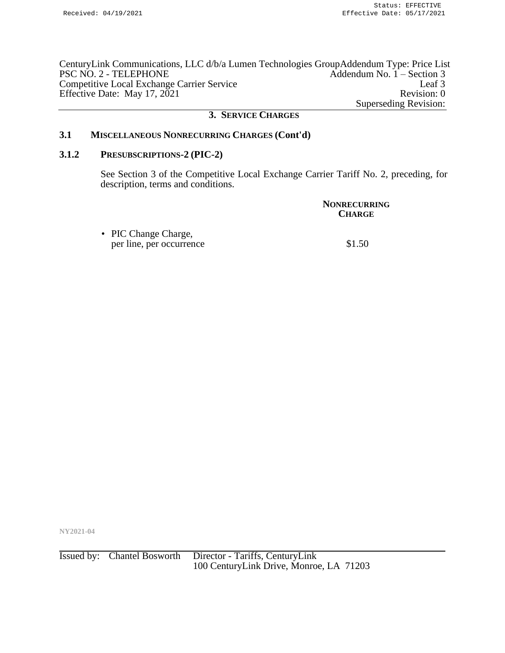CenturyLink Communications, LLC d/b/a Lumen Technologies GroupAddendum Type: Price List Addendum No.  $1 -$  Section 3 Competitive Local Exchange Carrier Service Leaf 3 Effective Date: May 17, 2021 Revision: 0 Superseding Revision:

#### **3. SERVICE CHARGES**

## **3.1 MISCELLANEOUS NONRECURRING CHARGES (Cont'd)**

#### **3.1.2 PRESUBSCRIPTIONS-2 (PIC-2)**

See Section 3 of the Competitive Local Exchange Carrier Tariff No. 2, preceding, for description, terms and conditions.

| <b>NONRECURRING</b><br><b>CHARGE</b> |
|--------------------------------------|
| \$1.50                               |
|                                      |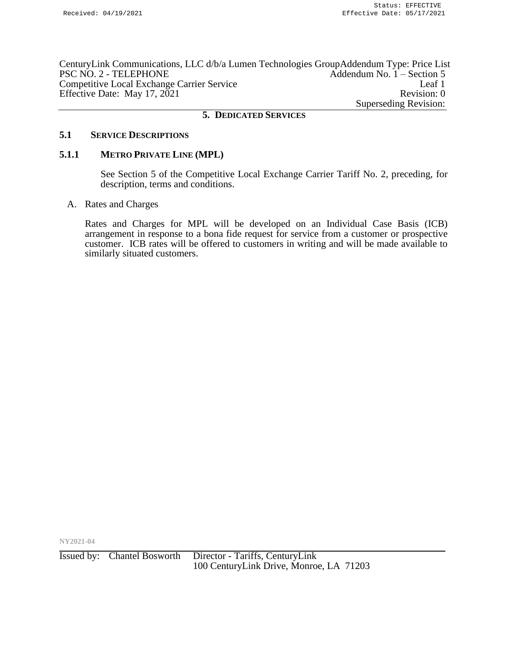CenturyLink Communications, LLC d/b/a Lumen Technologies GroupAddendum Type: Price List PSC NO. 2 - TELEPHONE Addendum No. 1 – Section 5 Competitive Local Exchange Carrier Service Leaf 1 Effective Date: May 17, 2021 Revision: 0 Superseding Revision:

#### **5. DEDICATED SERVICES**

## **5.1 SERVICE DESCRIPTIONS**

#### **5.1.1 METRO PRIVATE LINE (MPL)**

See Section 5 of the Competitive Local Exchange Carrier Tariff No. 2, preceding, for description, terms and conditions.

A. Rates and Charges

Rates and Charges for MPL will be developed on an Individual Case Basis (ICB) arrangement in response to a bona fide request for service from a customer or prospective customer. ICB rates will be offered to customers in writing and will be made available to similarly situated customers.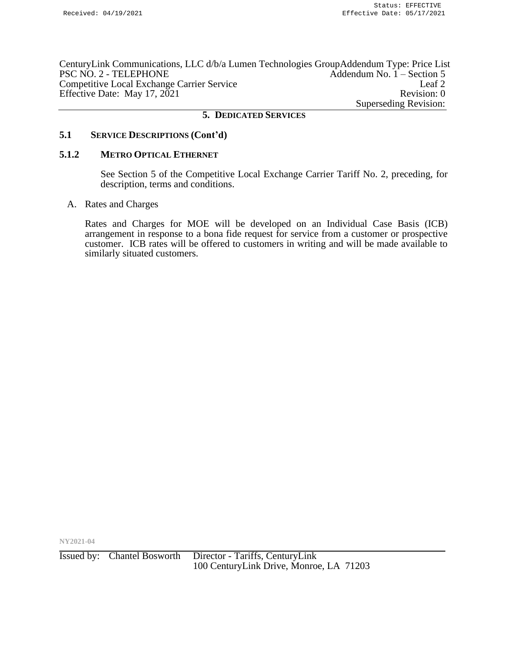CenturyLink Communications, LLC d/b/a Lumen Technologies GroupAddendum Type: Price List PSC NO. 2 - TELEPHONE Addendum No. 1 – Section 5 Competitive Local Exchange Carrier Service Leaf 2 Effective Date: May 17, 2021 Revision: 0 Superseding Revision:

#### **5. DEDICATED SERVICES**

## **5.1 SERVICE DESCRIPTIONS (Cont'd)**

## **5.1.2 METRO OPTICAL ETHERNET**

See Section 5 of the Competitive Local Exchange Carrier Tariff No. 2, preceding, for description, terms and conditions.

A. Rates and Charges

Rates and Charges for MOE will be developed on an Individual Case Basis (ICB) arrangement in response to a bona fide request for service from a customer or prospective customer. ICB rates will be offered to customers in writing and will be made available to similarly situated customers.